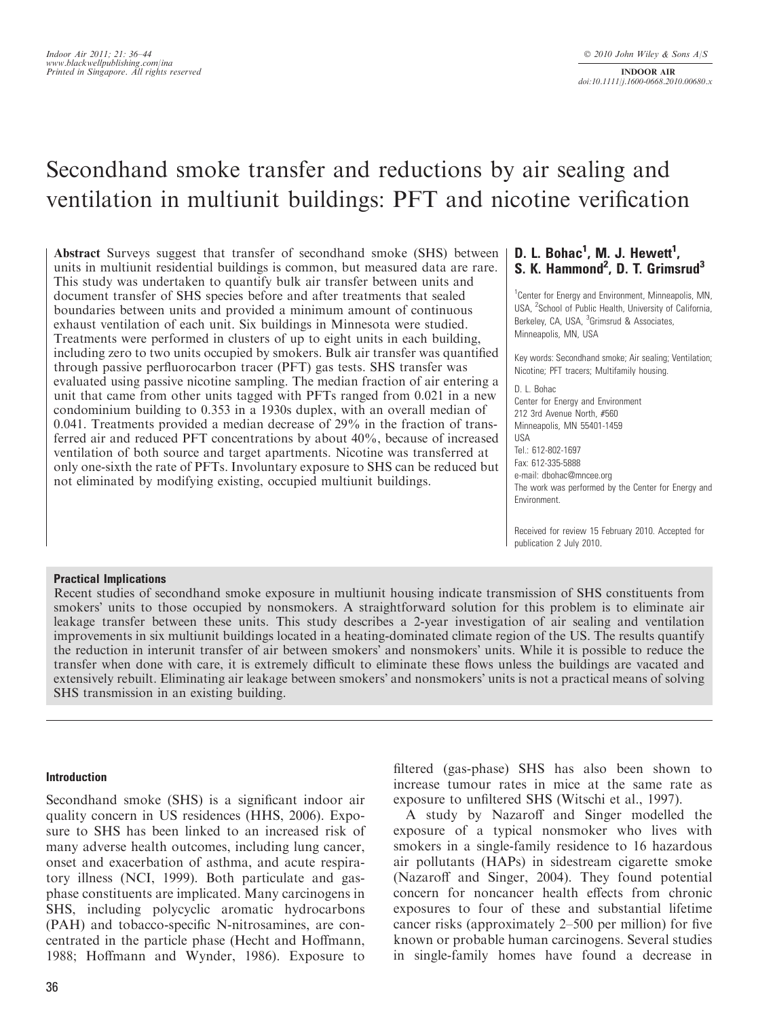# Secondhand smoke transfer and reductions by air sealing and ventilation in multiunit buildings: PFT and nicotine verification

Abstract Surveys suggest that transfer of secondhand smoke (SHS) between units in multiunit residential buildings is common, but measured data are rare. This study was undertaken to quantify bulk air transfer between units and document transfer of SHS species before and after treatments that sealed boundaries between units and provided a minimum amount of continuous exhaust ventilation of each unit. Six buildings in Minnesota were studied. Treatments were performed in clusters of up to eight units in each building, including zero to two units occupied by smokers. Bulk air transfer was quantified through passive perfluorocarbon tracer (PFT) gas tests. SHS transfer was evaluated using passive nicotine sampling. The median fraction of air entering a unit that came from other units tagged with PFTs ranged from 0.021 in a new condominium building to 0.353 in a 1930s duplex, with an overall median of 0.041. Treatments provided a median decrease of 29% in the fraction of transferred air and reduced PFT concentrations by about 40%, because of increased ventilation of both source and target apartments. Nicotine was transferred at only one-sixth the rate of PFTs. Involuntary exposure to SHS can be reduced but not eliminated by modifying existing, occupied multiunit buildings.

# D. L. Bohac<sup>1</sup>, M. J. Hewett<sup>1</sup>, S. K. Hammond<sup>2</sup>, D. T. Grimsrud<sup>3</sup>

<sup>1</sup> Center for Energy and Environment, Minneapolis, MN, USA, <sup>2</sup>School of Public Health, University of California, Berkeley, CA, USA, <sup>3</sup>Grimsrud & Associates, Minneapolis, MN, USA

Key words: Secondhand smoke; Air sealing; Ventilation; Nicotine; PFT tracers; Multifamily housing.

D. L. Bohac Center for Energy and Environment 212 3rd Avenue North, #560 Minneapolis, MN 55401-1459 USA Tel.: 612-802-1697 Fax: 612-335-5888 e-mail: dbohac@mncee.org The work was performed by the Center for Energy and Environment.

Received for review 15 February 2010. Accepted for publication 2 July 2010.

## Practical Implications

Recent studies of secondhand smoke exposure in multiunit housing indicate transmission of SHS constituents from smokers' units to those occupied by nonsmokers. A straightforward solution for this problem is to eliminate air leakage transfer between these units. This study describes a 2-year investigation of air sealing and ventilation improvements in six multiunit buildings located in a heating-dominated climate region of the US. The results quantify the reduction in interunit transfer of air between smokers' and nonsmokers' units. While it is possible to reduce the transfer when done with care, it is extremely difficult to eliminate these flows unless the buildings are vacated and extensively rebuilt. Eliminating air leakage between smokers' and nonsmokers' units is not a practical means of solving SHS transmission in an existing building.

## Introduction

Secondhand smoke (SHS) is a significant indoor air quality concern in US residences (HHS, 2006). Exposure to SHS has been linked to an increased risk of many adverse health outcomes, including lung cancer, onset and exacerbation of asthma, and acute respiratory illness (NCI, 1999). Both particulate and gasphase constituents are implicated. Many carcinogens in SHS, including polycyclic aromatic hydrocarbons (PAH) and tobacco-specific N-nitrosamines, are concentrated in the particle phase (Hecht and Hoffmann, 1988; Hoffmann and Wynder, 1986). Exposure to filtered (gas-phase) SHS has also been shown to increase tumour rates in mice at the same rate as exposure to unfiltered SHS (Witschi et al., 1997).

A study by Nazaroff and Singer modelled the exposure of a typical nonsmoker who lives with smokers in a single-family residence to 16 hazardous air pollutants (HAPs) in sidestream cigarette smoke (Nazaroff and Singer, 2004). They found potential concern for noncancer health effects from chronic exposures to four of these and substantial lifetime cancer risks (approximately 2–500 per million) for five known or probable human carcinogens. Several studies in single-family homes have found a decrease in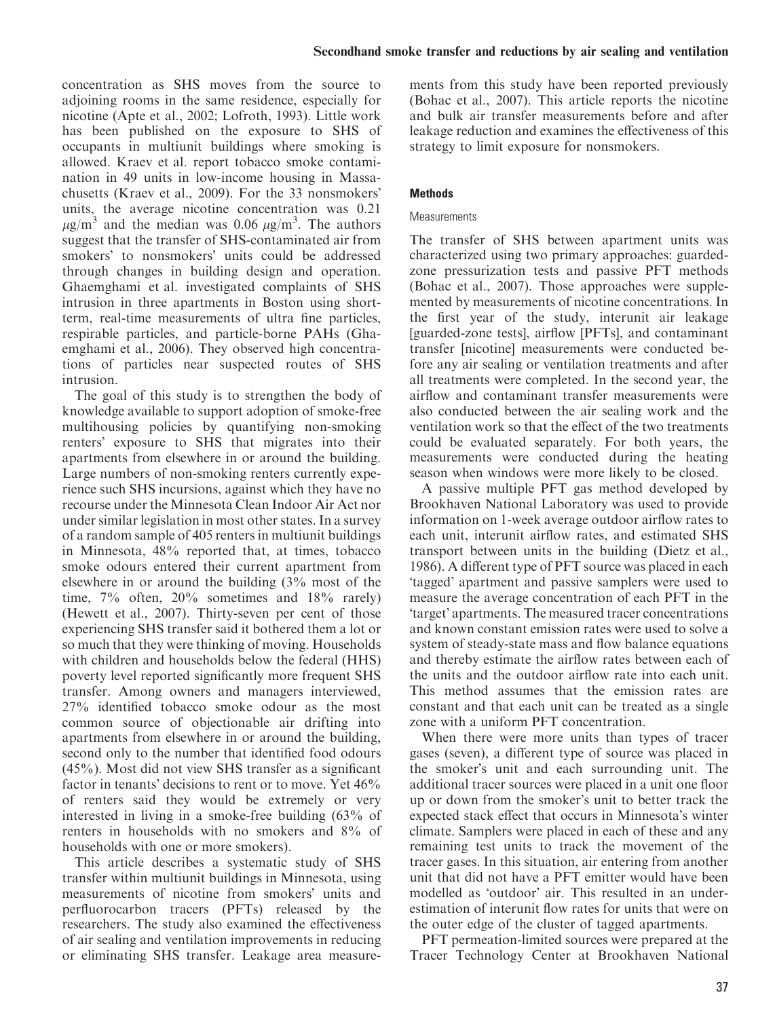concentration as SHS moves from the source to adjoining rooms in the same residence, especially for nicotine (Apte et al., 2002; Lofroth, 1993). Little work has been published on the exposure to SHS of occupants in multiunit buildings where smoking is allowed. Kraev et al. report tobacco smoke contamination in 49 units in low-income housing in Massachusetts (Kraev et al., 2009). For the 33 nonsmokers units, the average nicotine concentration was 0.21  $\mu$ g/m<sup>3</sup> and the median was 0.06  $\mu$ g/m<sup>3</sup>. The authors suggest that the transfer of SHS-contaminated air from smokers' to nonsmokers' units could be addressed through changes in building design and operation. Ghaemghami et al. investigated complaints of SHS intrusion in three apartments in Boston using shortterm, real-time measurements of ultra fine particles, respirable particles, and particle-borne PAHs (Ghaemghami et al., 2006). They observed high concentrations of particles near suspected routes of SHS intrusion.

The goal of this study is to strengthen the body of knowledge available to support adoption of smoke-free multihousing policies by quantifying non-smoking renters' exposure to SHS that migrates into their apartments from elsewhere in or around the building. Large numbers of non-smoking renters currently experience such SHS incursions, against which they have no recourse under the Minnesota Clean Indoor Air Act nor under similar legislation in most other states. In a survey of a random sample of 405 renters in multiunit buildings in Minnesota, 48% reported that, at times, tobacco smoke odours entered their current apartment from elsewhere in or around the building (3% most of the time, 7% often, 20% sometimes and 18% rarely) (Hewett et al., 2007). Thirty-seven per cent of those experiencing SHS transfer said it bothered them a lot or so much that they were thinking of moving. Households with children and households below the federal (HHS) poverty level reported significantly more frequent SHS transfer. Among owners and managers interviewed, 27% identified tobacco smoke odour as the most common source of objectionable air drifting into apartments from elsewhere in or around the building, second only to the number that identified food odours (45%). Most did not view SHS transfer as a significant factor in tenants' decisions to rent or to move. Yet 46% of renters said they would be extremely or very interested in living in a smoke-free building (63% of renters in households with no smokers and 8% of households with one or more smokers).

This article describes a systematic study of SHS transfer within multiunit buildings in Minnesota, using measurements of nicotine from smokers' units and perfluorocarbon tracers (PFTs) released by the researchers. The study also examined the effectiveness of air sealing and ventilation improvements in reducing or eliminating SHS transfer. Leakage area measurements from this study have been reported previously (Bohac et al., 2007). This article reports the nicotine and bulk air transfer measurements before and after leakage reduction and examines the effectiveness of this strategy to limit exposure for nonsmokers.

# Methods

# **Measurements**

The transfer of SHS between apartment units was characterized using two primary approaches: guardedzone pressurization tests and passive PFT methods (Bohac et al., 2007). Those approaches were supplemented by measurements of nicotine concentrations. In the first year of the study, interunit air leakage [guarded-zone tests], airflow [PFTs], and contaminant transfer [nicotine] measurements were conducted before any air sealing or ventilation treatments and after all treatments were completed. In the second year, the airflow and contaminant transfer measurements were also conducted between the air sealing work and the ventilation work so that the effect of the two treatments could be evaluated separately. For both years, the measurements were conducted during the heating season when windows were more likely to be closed.

A passive multiple PFT gas method developed by Brookhaven National Laboratory was used to provide information on 1-week average outdoor airflow rates to each unit, interunit airflow rates, and estimated SHS transport between units in the building (Dietz et al., 1986). A different type of PFT source was placed in each 'tagged' apartment and passive samplers were used to measure the average concentration of each PFT in the 'target' apartments. The measured tracer concentrations and known constant emission rates were used to solve a system of steady-state mass and flow balance equations and thereby estimate the airflow rates between each of the units and the outdoor airflow rate into each unit. This method assumes that the emission rates are constant and that each unit can be treated as a single zone with a uniform PFT concentration.

When there were more units than types of tracer gases (seven), a different type of source was placed in the smoker's unit and each surrounding unit. The additional tracer sources were placed in a unit one floor up or down from the smoker's unit to better track the expected stack effect that occurs in Minnesota's winter climate. Samplers were placed in each of these and any remaining test units to track the movement of the tracer gases. In this situation, air entering from another unit that did not have a PFT emitter would have been modelled as 'outdoor' air. This resulted in an underestimation of interunit flow rates for units that were on the outer edge of the cluster of tagged apartments.

PFT permeation-limited sources were prepared at the Tracer Technology Center at Brookhaven National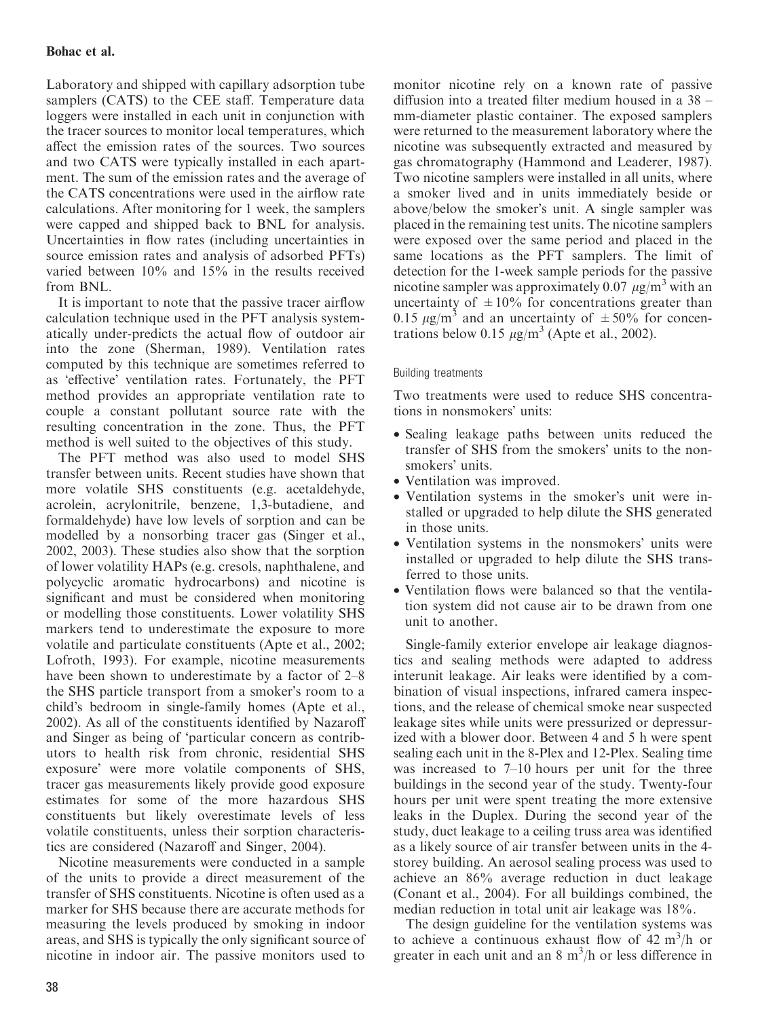# Bohac et al.

Laboratory and shipped with capillary adsorption tube samplers (CATS) to the CEE staff. Temperature data loggers were installed in each unit in conjunction with the tracer sources to monitor local temperatures, which affect the emission rates of the sources. Two sources and two CATS were typically installed in each apartment. The sum of the emission rates and the average of the CATS concentrations were used in the airflow rate calculations. After monitoring for 1 week, the samplers were capped and shipped back to BNL for analysis. Uncertainties in flow rates (including uncertainties in source emission rates and analysis of adsorbed PFTs) varied between 10% and 15% in the results received from BNL.

It is important to note that the passive tracer airflow calculation technique used in the PFT analysis systematically under-predicts the actual flow of outdoor air into the zone (Sherman, 1989). Ventilation rates computed by this technique are sometimes referred to as 'effective' ventilation rates. Fortunately, the PFT method provides an appropriate ventilation rate to couple a constant pollutant source rate with the resulting concentration in the zone. Thus, the PFT method is well suited to the objectives of this study.

The PFT method was also used to model SHS transfer between units. Recent studies have shown that more volatile SHS constituents (e.g. acetaldehyde, acrolein, acrylonitrile, benzene, 1,3-butadiene, and formaldehyde) have low levels of sorption and can be modelled by a nonsorbing tracer gas (Singer et al., 2002, 2003). These studies also show that the sorption of lower volatility HAPs (e.g. cresols, naphthalene, and polycyclic aromatic hydrocarbons) and nicotine is significant and must be considered when monitoring or modelling those constituents. Lower volatility SHS markers tend to underestimate the exposure to more volatile and particulate constituents (Apte et al., 2002; Lofroth, 1993). For example, nicotine measurements have been shown to underestimate by a factor of 2–8 the SHS particle transport from a smoker's room to a child's bedroom in single-family homes (Apte et al., 2002). As all of the constituents identified by Nazaroff and Singer as being of 'particular concern as contributors to health risk from chronic, residential SHS exposure' were more volatile components of SHS, tracer gas measurements likely provide good exposure estimates for some of the more hazardous SHS constituents but likely overestimate levels of less volatile constituents, unless their sorption characteristics are considered (Nazaroff and Singer, 2004).

Nicotine measurements were conducted in a sample of the units to provide a direct measurement of the transfer of SHS constituents. Nicotine is often used as a marker for SHS because there are accurate methods for measuring the levels produced by smoking in indoor areas, and SHS is typically the only significant source of nicotine in indoor air. The passive monitors used to

monitor nicotine rely on a known rate of passive diffusion into a treated filter medium housed in a 38 – mm-diameter plastic container. The exposed samplers were returned to the measurement laboratory where the nicotine was subsequently extracted and measured by gas chromatography (Hammond and Leaderer, 1987). Two nicotine samplers were installed in all units, where a smoker lived and in units immediately beside or above/below the smoker's unit. A single sampler was placed in the remaining test units. The nicotine samplers were exposed over the same period and placed in the same locations as the PFT samplers. The limit of detection for the 1-week sample periods for the passive nicotine sampler was approximately 0.07  $\mu$ g/m<sup>3</sup> with an uncertainty of  $\pm 10\%$  for concentrations greater than 0.15  $\mu$ g/m<sup>3</sup> and an uncertainty of  $\pm$  50% for concentrations below 0.15  $\mu$ g/m<sup>3</sup> (Apte et al., 2002).

## Building treatments

Two treatments were used to reduce SHS concentrations in nonsmokers' units:

- Sealing leakage paths between units reduced the transfer of SHS from the smokers' units to the nonsmokers' units.
- Ventilation was improved.
- Ventilation systems in the smoker's unit were installed or upgraded to help dilute the SHS generated in those units.
- Ventilation systems in the nonsmokers' units were installed or upgraded to help dilute the SHS transferred to those units.
- Ventilation flows were balanced so that the ventilation system did not cause air to be drawn from one unit to another.

Single-family exterior envelope air leakage diagnostics and sealing methods were adapted to address interunit leakage. Air leaks were identified by a combination of visual inspections, infrared camera inspections, and the release of chemical smoke near suspected leakage sites while units were pressurized or depressurized with a blower door. Between 4 and 5 h were spent sealing each unit in the 8-Plex and 12-Plex. Sealing time was increased to 7–10 hours per unit for the three buildings in the second year of the study. Twenty-four hours per unit were spent treating the more extensive leaks in the Duplex. During the second year of the study, duct leakage to a ceiling truss area was identified as a likely source of air transfer between units in the 4 storey building. An aerosol sealing process was used to achieve an 86% average reduction in duct leakage (Conant et al., 2004). For all buildings combined, the median reduction in total unit air leakage was 18%.

The design guideline for the ventilation systems was to achieve a continuous exhaust flow of  $42 \text{ m}^3\text{/h}$  or greater in each unit and an  $8 \text{ m}^3$ /h or less difference in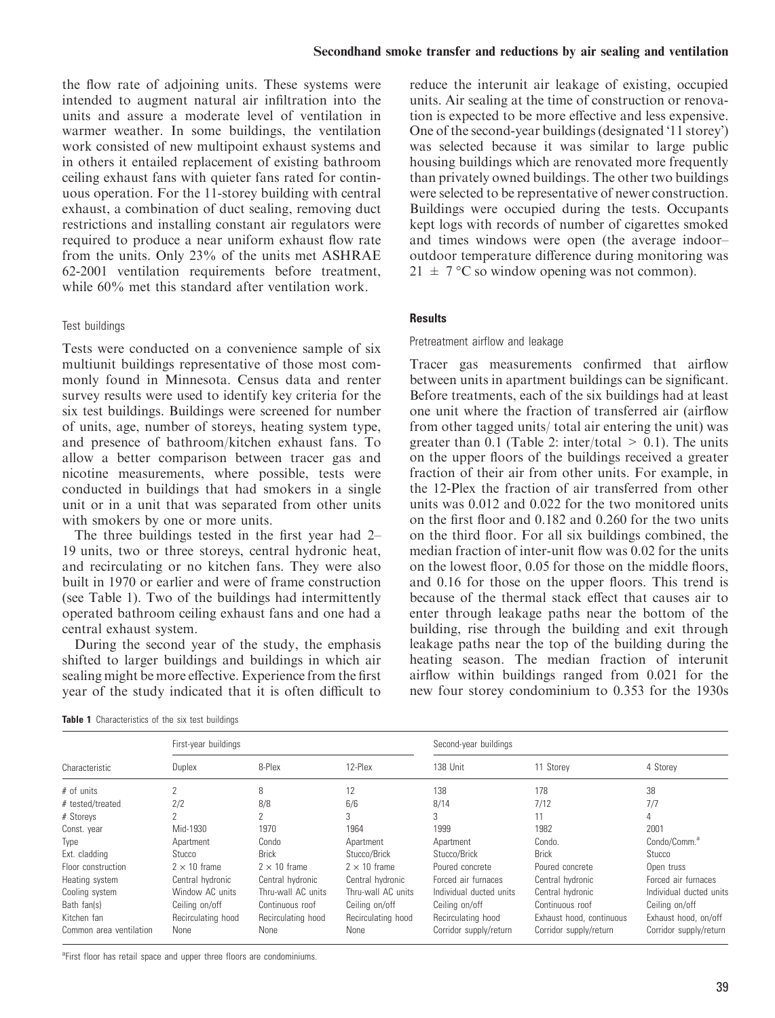the flow rate of adjoining units. These systems were intended to augment natural air infiltration into the units and assure a moderate level of ventilation in warmer weather. In some buildings, the ventilation work consisted of new multipoint exhaust systems and in others it entailed replacement of existing bathroom ceiling exhaust fans with quieter fans rated for continuous operation. For the 11-storey building with central exhaust, a combination of duct sealing, removing duct restrictions and installing constant air regulators were required to produce a near uniform exhaust flow rate from the units. Only 23% of the units met ASHRAE 62-2001 ventilation requirements before treatment, while 60% met this standard after ventilation work.

## Test buildings

Tests were conducted on a convenience sample of six multiunit buildings representative of those most commonly found in Minnesota. Census data and renter survey results were used to identify key criteria for the six test buildings. Buildings were screened for number of units, age, number of storeys, heating system type, and presence of bathroom/kitchen exhaust fans. To allow a better comparison between tracer gas and nicotine measurements, where possible, tests were conducted in buildings that had smokers in a single unit or in a unit that was separated from other units with smokers by one or more units.

The three buildings tested in the first year had 2– 19 units, two or three storeys, central hydronic heat, and recirculating or no kitchen fans. They were also built in 1970 or earlier and were of frame construction (see Table 1). Two of the buildings had intermittently operated bathroom ceiling exhaust fans and one had a central exhaust system.

During the second year of the study, the emphasis shifted to larger buildings and buildings in which air sealing might be more effective. Experience from the first year of the study indicated that it is often difficult to

| Table 1 Characteristics of the six test buildings |
|---------------------------------------------------|
|---------------------------------------------------|

reduce the interunit air leakage of existing, occupied units. Air sealing at the time of construction or renovation is expected to be more effective and less expensive. One of the second-year buildings (designated '11 storey') was selected because it was similar to large public housing buildings which are renovated more frequently than privately owned buildings. The other two buildings were selected to be representative of newer construction. Buildings were occupied during the tests. Occupants kept logs with records of number of cigarettes smoked and times windows were open (the average indoor– outdoor temperature difference during monitoring was  $21 \pm 7$  °C so window opening was not common).

## **Results**

## Pretreatment airflow and leakage

Tracer gas measurements confirmed that airflow between units in apartment buildings can be significant. Before treatments, each of the six buildings had at least one unit where the fraction of transferred air (airflow from other tagged units/ total air entering the unit) was greater than 0.1 (Table 2: inter/total  $> 0.1$ ). The units on the upper floors of the buildings received a greater fraction of their air from other units. For example, in the 12-Plex the fraction of air transferred from other units was 0.012 and 0.022 for the two monitored units on the first floor and 0.182 and 0.260 for the two units on the third floor. For all six buildings combined, the median fraction of inter-unit flow was 0.02 for the units on the lowest floor, 0.05 for those on the middle floors, and 0.16 for those on the upper floors. This trend is because of the thermal stack effect that causes air to enter through leakage paths near the bottom of the building, rise through the building and exit through leakage paths near the top of the building during the heating season. The median fraction of interunit airflow within buildings ranged from 0.021 for the new four storey condominium to 0.353 for the 1930s

|                         | First-year buildings     |                     |                     | Second-year buildings   |                          |                          |  |
|-------------------------|--------------------------|---------------------|---------------------|-------------------------|--------------------------|--------------------------|--|
| Characteristic          | Duplex                   | 8-Plex              | 12-Plex             | 138 Unit                | 11 Storey                | 4 Storey                 |  |
| $#$ of units            | 2                        | 8                   | 12                  | 138                     | 178                      | 38                       |  |
| # tested/treated        | 2/2                      | 8/8                 | 6/6                 | 8/14                    | 7/12                     | 7/7                      |  |
| # Storeys               | $\overline{\phantom{a}}$ | 2                   | 3                   | 3                       | 11                       | 4                        |  |
| Const. year             | Mid-1930                 | 1970                | 1964                | 1999                    | 1982                     | 2001                     |  |
| Type                    | Apartment                | Condo               | Apartment           | Apartment               | Condo.                   | Condo/Comm. <sup>a</sup> |  |
| Ext. cladding           | Stucco                   | <b>Brick</b>        | Stucco/Brick        | Stucco/Brick            | <b>Brick</b>             | Stucco                   |  |
| Floor construction      | $2 \times 10$ frame      | $2 \times 10$ frame | $2 \times 10$ frame | Poured concrete         | Poured concrete          | Open truss               |  |
| Heating system          | Central hydronic         | Central hydronic    | Central hydronic    | Forced air furnaces     | Central hydronic         | Forced air furnaces      |  |
| Cooling system          | Window AC units          | Thru-wall AC units  | Thru-wall AC units  | Individual ducted units | Central hydronic         | Individual ducted units  |  |
| Bath fan(s)             | Ceiling on/off           | Continuous roof     | Ceiling on/off      | Ceiling on/off          | Continuous roof          | Ceiling on/off           |  |
| Kitchen fan             | Recirculating hood       | Recirculating hood  | Recirculating hood  | Recirculating hood      | Exhaust hood, continuous | Exhaust hood, on/off     |  |
| Common area ventilation | None                     | <b>None</b>         | None                | Corridor supply/return  | Corridor supply/return   | Corridor supply/return   |  |

<sup>a</sup>First floor has retail space and upper three floors are condominiums.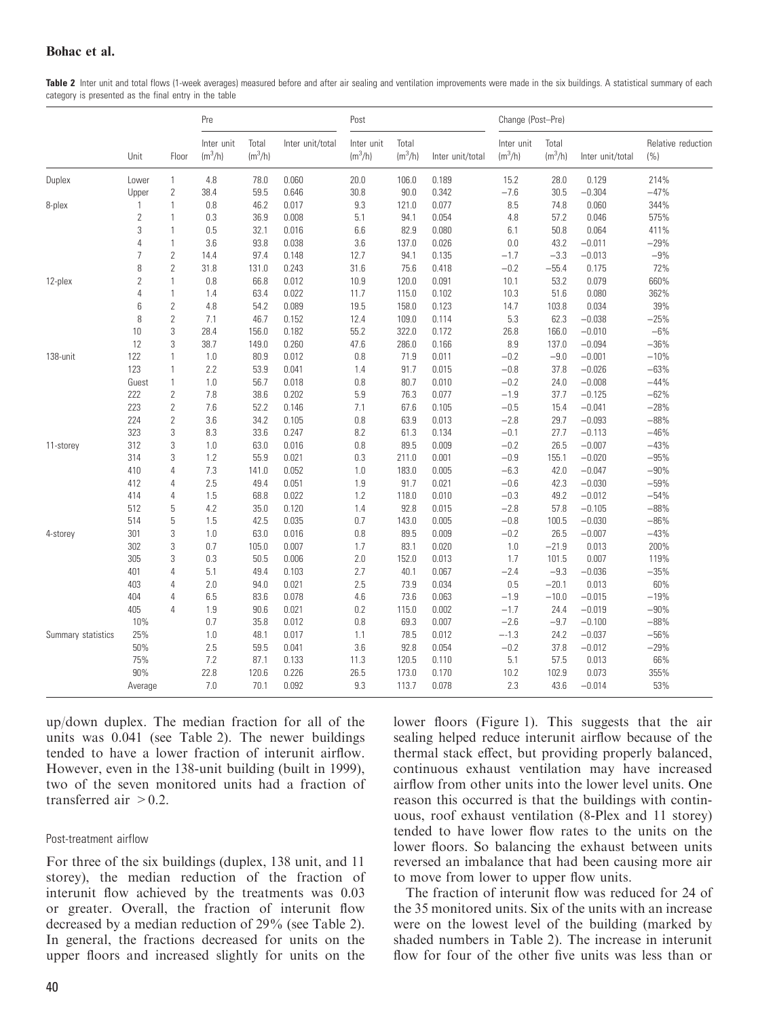Table 2 Inter unit and total flows (1-week averages) measured before and after air sealing and ventilation improvements were made in the six buildings. A statistical summary of each category is presented as the final entry in the table

|                    |                |                | Pre                     |                    |                  | Post                    |                    |                  | Change (Post-Pre)       |                    |                  |                           |
|--------------------|----------------|----------------|-------------------------|--------------------|------------------|-------------------------|--------------------|------------------|-------------------------|--------------------|------------------|---------------------------|
|                    | Unit           | Floor          | Inter unit<br>$(m^3/h)$ | Total<br>$(m^3/h)$ | Inter unit/total | Inter unit<br>$(m^3/h)$ | Total<br>$(m^3/h)$ | Inter unit/total | Inter unit<br>$(m^3/h)$ | Total<br>$(m^3/h)$ | Inter unit/total | Relative reduction<br>(%) |
| Duplex             | Lower          | 1              | 4.8                     | 78.0               | 0.060            | 20.0                    | 106.0              | 0.189            | 15.2                    | 28.0               | 0.129            | 214%                      |
|                    | Upper          | $\mathbf{2}$   | 38.4                    | 59.5               | 0.646            | 30.8                    | 90.0               | 0.342            | $-7.6$                  | 30.5               | $-0.304$         | $-47%$                    |
| 8-plex             | 1              | 1              | 0.8                     | 46.2               | 0.017            | 9.3                     | 121.0              | 0.077            | 8.5                     | 74.8               | 0.060            | 344%                      |
|                    | $\mathbf{2}$   | $\mathbf{1}$   | 0.3                     | 36.9               | 0.008            | 5.1                     | 94.1               | 0.054            | 4.8                     | 57.2               | 0.046            | 575%                      |
|                    | 3              | $\mathbf{1}$   | 0.5                     | 32.1               | 0.016            | 6.6                     | 82.9               | 0.080            | 6.1                     | 50.8               | 0.064            | 411%                      |
|                    | $\overline{4}$ | 1              | 3.6                     | 93.8               | 0.038            | 3.6                     | 137.0              | 0.026            | $0.0\,$                 | 43.2               | $-0.011$         | $-29%$                    |
|                    | $\overline{7}$ | $\overline{2}$ | 14.4                    | 97.4               | 0.148            | 12.7                    | 94.1               | 0.135            | $-1.7$                  | $-3.3$             | $-0.013$         | $-9%$                     |
|                    | 8              | $\overline{2}$ | 31.8                    | 131.0              | 0.243            | 31.6                    | 75.6               | 0.418            | $-0.2$                  | $-55.4$            | 0.175            | 72%                       |
| 12-plex            | $\overline{2}$ | $\mathbf{1}$   | 0.8                     | 66.8               | 0.012            | 10.9                    | 120.0              | 0.091            | 10.1                    | 53.2               | 0.079            | 660%                      |
|                    | $\overline{4}$ | $\mathbf{1}$   | 1.4                     | 63.4               | 0.022            | 11.7                    | 115.0              | 0.102            | 10.3                    | 51.6               | 0.080            | 362%                      |
|                    | 6              | $\mathbf{2}$   | 4.8                     | 54.2               | 0.089            | 19.5                    | 158.0              | 0.123            | 14.7                    | 103.8              | 0.034            | 39%                       |
|                    | 8              | $\overline{2}$ | 7.1                     | 46.7               | 0.152            | 12.4                    | 109.0              | 0.114            | 5.3                     | 62.3               | $-0.038$         | $-25%$                    |
|                    | 10             | 3              | 28.4                    | 156.0              | 0.182            | 55.2                    | 322.0              | 0.172            | 26.8                    | 166.0              | $-0.010$         | $-6%$                     |
|                    | 12             | 3              | 38.7                    | 149.0              | 0.260            | 47.6                    | 286.0              | 0.166            | 8.9                     | 137.0              | $-0.094$         | $-36%$                    |
| 138-unit           | 122            | $\mathbf{1}$   | 1.0                     | 80.9               | 0.012            | 0.8                     | 71.9               | 0.011            | $-0.2$                  | $-9.0$             | $-0.001$         | $-10%$                    |
|                    | 123            | 1              | 2.2                     | 53.9               | 0.041            | 1.4                     | 91.7               | 0.015            | $-0.8$                  | 37.8               | $-0.026$         | $-63%$                    |
|                    | Guest          | $\mathbf{1}$   | 1.0                     | 56.7               | 0.018            | 0.8                     | 80.7               | 0.010            | $-0.2$                  | 24.0               | $-0.008$         | $-44%$                    |
|                    | 222            | $\mathbf{2}$   | 7.8                     | 38.6               | 0.202            | 5.9                     | 76.3               | 0.077            | $-1.9$                  | 37.7               | $-0.125$         | $-62%$                    |
|                    | 223            | $\mathbf{2}$   | 7.6                     | 52.2               | 0.146            | 7.1                     | 67.6               | 0.105            | $-0.5$                  | 15.4               | $-0.041$         | $-28%$                    |
|                    | 224            | $\overline{2}$ | 3.6                     | 34.2               | 0.105            | 0.8                     | 63.9               | 0.013            | $-2.8$                  | 29.7               | $-0.093$         | $-88%$                    |
|                    | 323            | 3              | 8.3                     | 33.6               | 0.247            | 8.2                     | 61.3               | 0.134            | $-0.1$                  | 27.7               | $-0.113$         | $-46%$                    |
| 11-storey          | 312            | 3              | 1.0                     | 63.0               | 0.016            | 0.8                     | 89.5               | 0.009            | $-0.2$                  | 26.5               | $-0.007$         | $-43%$                    |
|                    | 314            | 3              | 1.2                     | 55.9               | 0.021            | 0.3                     | 211.0              | 0.001            | $-0.9$                  | 155.1              | $-0.020$         | $-95%$                    |
|                    | 410            | 4              | 7.3                     | 141.0              | 0.052            | 1.0                     | 183.0              | 0.005            | $-6.3$                  | 42.0               | $-0.047$         | $-90%$                    |
|                    | 412            | $\overline{4}$ | 2.5                     | 49.4               | 0.051            | 1.9                     | 91.7               | 0.021            | $-0.6$                  | 42.3               | $-0.030$         | $-59%$                    |
|                    | 414            | 4              | 1.5                     | 68.8               | 0.022            | 1.2                     | 118.0              | 0.010            | $-0.3$                  | 49.2               | $-0.012$         | $-54%$                    |
|                    | 512            | 5              | 4.2                     | 35.0               | 0.120            | 1.4                     | 92.8               | 0.015            | $-2.8$                  | 57.8               | $-0.105$         | $-88%$                    |
|                    | 514            | 5              | 1.5                     | 42.5               | 0.035            | 0.7                     | 143.0              | 0.005            | $-0.8$                  | 100.5              | $-0.030$         | $-86%$                    |
| 4-storey           | 301            | 3              | 1.0                     | 63.0               | 0.016            | 0.8                     | 89.5               | 0.009            | $-0.2$                  | 26.5               | $-0.007$         | $-43%$                    |
|                    | 302            | 3              | 0.7                     | 105.0              | 0.007            | 1.7                     | 83.1               | 0.020            | 1.0                     | $-21.9$            | 0.013            | 200%                      |
|                    | 305            | 3              | 0.3                     | 50.5               | 0.006            | 2.0                     | 152.0              | 0.013            | 1.7                     | 101.5              | 0.007            | 119%                      |
|                    | 401            | 4              | 5.1                     | 49.4               | 0.103            | 2.7                     | 40.1               | 0.067            | $-2.4$                  | $-9.3$             | $-0.036$         | $-35%$                    |
|                    | 403            | 4              | 2.0                     | 94.0               | 0.021            | 2.5                     | 73.9               | 0.034            | 0.5                     | $-20.1$            | 0.013            | 60%                       |
|                    | 404            | 4              | 6.5                     | 83.6               | 0.078            | 4.6                     | 73.6               | 0.063            | $-1.9$                  | $-10.0$            | $-0.015$         | $-19%$                    |
|                    | 405            | $\overline{4}$ | 1.9                     | 90.6               | 0.021            | 0.2                     | 115.0              | 0.002            | $-1.7$                  | 24.4               | $-0.019$         | $-90%$                    |
|                    | 10%            |                | 0.7                     | 35.8               | 0.012            | 0.8                     | 69.3               | 0.007            | $-2.6$                  | $-9.7$             | $-0.100$         | $-88%$                    |
| Summary statistics | 25%            |                | 1.0                     | 48.1               | 0.017            | 1.1                     | 78.5               | 0.012            | $- -1.3$                | 24.2               | $-0.037$         | $-56%$                    |
|                    | 50%            |                | 2.5                     | 59.5               | 0.041            | 3.6                     | 92.8               | 0.054            | $-0.2$                  | 37.8               | $-0.012$         | $-29%$                    |
|                    | 75%            |                | 7.2                     | 87.1               | 0.133            | 11.3                    | 120.5              | 0.110            | 5.1                     | 57.5               | 0.013            | 66%                       |
|                    | 90%            |                | 22.8                    | 120.6              | 0.226            | 26.5                    | 173.0              | 0.170            | 10.2                    | 102.9              | 0.073            | 355%                      |
|                    | Average        |                | 7.0                     | 70.1               | 0.092            | 9.3                     | 113.7              | 0.078            | 2.3                     | 43.6               | $-0.014$         | 53%                       |

up/down duplex. The median fraction for all of the units was 0.041 (see Table 2). The newer buildings tended to have a lower fraction of interunit airflow. However, even in the 138-unit building (built in 1999), two of the seven monitored units had a fraction of transferred air  $> 0.2$ .

## Post-treatment airflow

For three of the six buildings (duplex, 138 unit, and 11 storey), the median reduction of the fraction of interunit flow achieved by the treatments was 0.03 or greater. Overall, the fraction of interunit flow decreased by a median reduction of 29% (see Table 2). In general, the fractions decreased for units on the upper floors and increased slightly for units on the lower floors (Figure 1). This suggests that the air sealing helped reduce interunit airflow because of the thermal stack effect, but providing properly balanced, continuous exhaust ventilation may have increased airflow from other units into the lower level units. One reason this occurred is that the buildings with continuous, roof exhaust ventilation (8-Plex and 11 storey) tended to have lower flow rates to the units on the lower floors. So balancing the exhaust between units reversed an imbalance that had been causing more air to move from lower to upper flow units.

The fraction of interunit flow was reduced for 24 of the 35 monitored units. Six of the units with an increase were on the lowest level of the building (marked by shaded numbers in Table 2). The increase in interunit flow for four of the other five units was less than or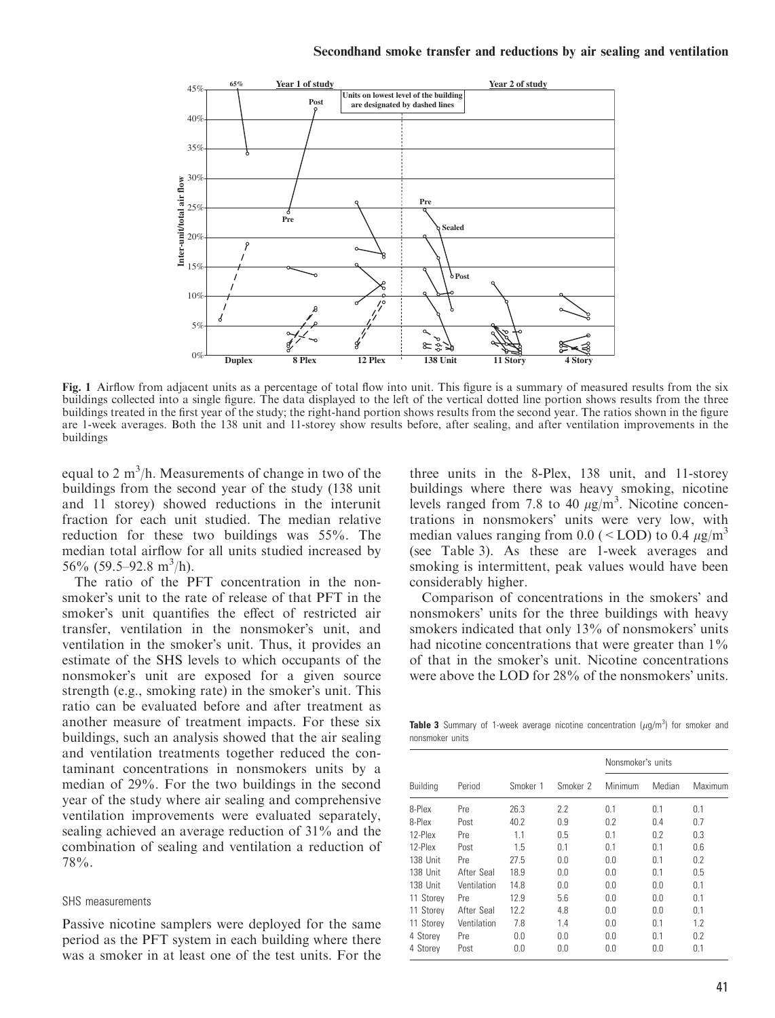

Fig. 1 Airflow from adjacent units as a percentage of total flow into unit. This figure is a summary of measured results from the six buildings collected into a single figure. The data displayed to the left of the vertical dotted line portion shows results from the three buildings treated in the first year of the study; the right-hand portion shows results from the second year. The ratios shown in the figure are 1-week averages. Both the 138 unit and 11-storey show results before, after sealing, and after ventilation improvements in the buildings

equal to 2  $\text{m}^3/\text{h}$ . Measurements of change in two of the buildings from the second year of the study (138 unit and 11 storey) showed reductions in the interunit fraction for each unit studied. The median relative reduction for these two buildings was 55%. The median total airflow for all units studied increased by 56% (59.5–92.8 m<sup>3</sup>/h).

The ratio of the PFT concentration in the nonsmoker's unit to the rate of release of that PFT in the smoker's unit quantifies the effect of restricted air transfer, ventilation in the nonsmoker's unit, and ventilation in the smoker's unit. Thus, it provides an estimate of the SHS levels to which occupants of the nonsmoker's unit are exposed for a given source strength (e.g., smoking rate) in the smoker's unit. This ratio can be evaluated before and after treatment as another measure of treatment impacts. For these six buildings, such an analysis showed that the air sealing and ventilation treatments together reduced the contaminant concentrations in nonsmokers units by a median of 29%. For the two buildings in the second year of the study where air sealing and comprehensive ventilation improvements were evaluated separately, sealing achieved an average reduction of 31% and the combination of sealing and ventilation a reduction of 78%.

#### SHS measurements

Passive nicotine samplers were deployed for the same period as the PFT system in each building where there was a smoker in at least one of the test units. For the three units in the 8-Plex, 138 unit, and 11-storey buildings where there was heavy smoking, nicotine levels ranged from 7.8 to 40  $\mu$ g/m<sup>3</sup>. Nicotine concentrations in nonsmokers' units were very low, with median values ranging from 0.0 (  $\leq$  LOD) to 0.4  $\mu$ g/m<sup>3</sup> (see Table 3). As these are 1-week averages and smoking is intermittent, peak values would have been considerably higher.

Comparison of concentrations in the smokers' and nonsmokers' units for the three buildings with heavy smokers indicated that only 13% of nonsmokers' units had nicotine concentrations that were greater than  $1\%$ of that in the smoker's unit. Nicotine concentrations were above the LOD for  $28\%$  of the nonsmokers' units.

**Table 3** Summary of 1-week average nicotine concentration  $(\mu g/m^3)$  for smoker and nonsmoker units

|                 |             |          |          | Nonsmoker's units |        |         |  |
|-----------------|-------------|----------|----------|-------------------|--------|---------|--|
| <b>Building</b> | Period      | Smoker 1 | Smoker 2 | Minimum           | Median | Maximum |  |
| 8-Plex          | Pre         | 26.3     | 2.2      | 0.1               | 0.1    | 0.1     |  |
| 8-Plex          | Post        | 40.2     | 0.9      | 0.2               | 0.4    | 0.7     |  |
| 12-Plex         | Pre         | 1.1      | 0.5      | 0.1               | 0.2    | 0.3     |  |
| 12-Plex         | Post        | 1.5      | 0.1      | 0.1               | 0.1    | 0.6     |  |
| 138 Unit        | Pre         | 27.5     | 0.0      | 0.0               | 0.1    | 0.2     |  |
| 138 Unit        | After Seal  | 18.9     | 0.0      | 0.0               | 0.1    | 0.5     |  |
| 138 Unit        | Ventilation | 14.8     | 0.0      | 0.0               | 0.0    | 0.1     |  |
| 11 Storey       | Pre         | 12.9     | 5.6      | 0.0               | 0.0    | 0.1     |  |
| 11 Storey       | After Seal  | 12.2     | 4.8      | 0.0               | 0.0    | 0.1     |  |
| 11 Storey       | Ventilation | 7.8      | 1.4      | 0.0               | 0.1    | 1.2     |  |
| 4 Storey        | Pre         | 0.0      | 0.0      | 0.0               | 0.1    | 0.2     |  |
| 4 Storey        | Post        | 0.0      | 0.0      | 0.0               | 0.0    | 0.1     |  |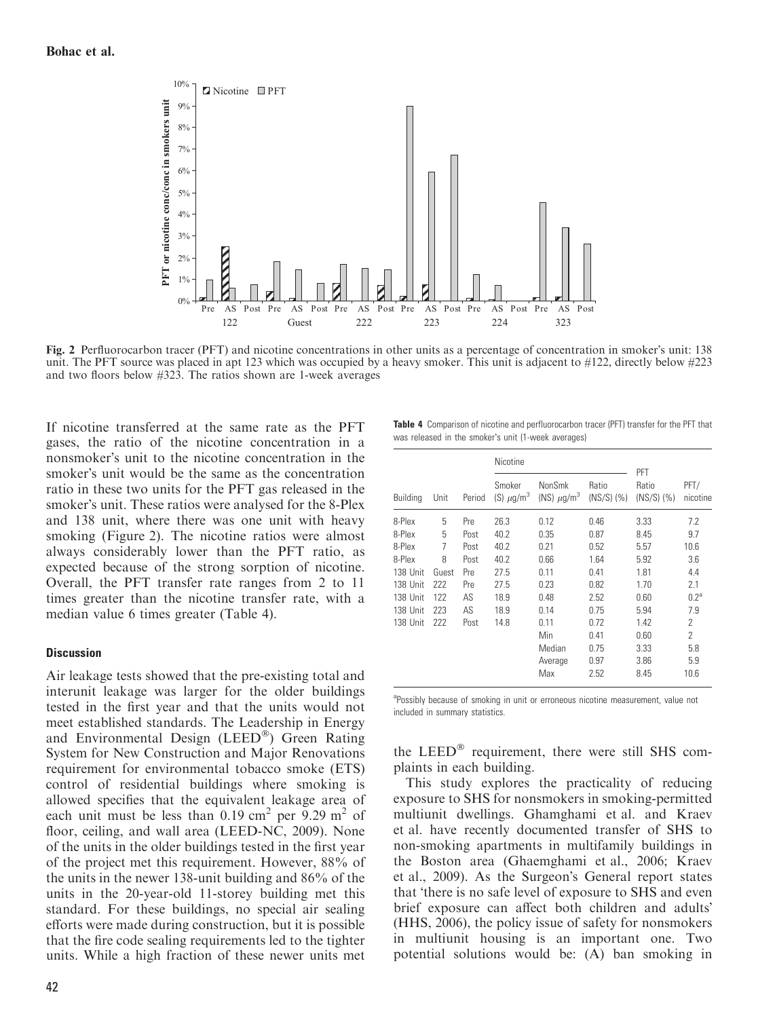

Fig. 2 Perfluorocarbon tracer (PFT) and nicotine concentrations in other units as a percentage of concentration in smoker's unit: 138 unit. The PFT source was placed in apt 123 which was occupied by a heavy smoker. This unit is adjacent to #122, directly below #223 and two floors below #323. The ratios shown are 1-week averages

If nicotine transferred at the same rate as the PFT gases, the ratio of the nicotine concentration in a nonsmoker's unit to the nicotine concentration in the smoker's unit would be the same as the concentration ratio in these two units for the PFT gas released in the smoker's unit. These ratios were analysed for the 8-Plex and 138 unit, where there was one unit with heavy smoking (Figure 2). The nicotine ratios were almost always considerably lower than the PFT ratio, as expected because of the strong sorption of nicotine. Overall, the PFT transfer rate ranges from 2 to 11 times greater than the nicotine transfer rate, with a median value 6 times greater (Table 4).

#### **Discussion**

Air leakage tests showed that the pre-existing total and interunit leakage was larger for the older buildings tested in the first year and that the units would not meet established standards. The Leadership in Energy and Environmental Design (LEED®) Green Rating System for New Construction and Major Renovations requirement for environmental tobacco smoke (ETS) control of residential buildings where smoking is allowed specifies that the equivalent leakage area of each unit must be less than  $0.19 \text{ cm}^2 \text{ per } 9.29 \text{ m}^2 \text{ of }$ floor, ceiling, and wall area (LEED-NC, 2009). None of the units in the older buildings tested in the first year of the project met this requirement. However, 88% of the units in the newer 138-unit building and 86% of the units in the 20-year-old 11-storey building met this standard. For these buildings, no special air sealing efforts were made during construction, but it is possible that the fire code sealing requirements led to the tighter units. While a high fraction of these newer units met Table 4 Comparison of nicotine and perfluorocarbon tracer (PFT) transfer for the PFT that was released in the smoker's unit (1-week averages)

|                 |       |        | Nicotine                             |                                       | PFT                    |                   |                  |
|-----------------|-------|--------|--------------------------------------|---------------------------------------|------------------------|-------------------|------------------|
| <b>Building</b> | Unit  | Period | Smoker<br>(S) $\mu$ g/m <sup>3</sup> | NonSmk<br>(NS) $\mu$ g/m <sup>3</sup> | Ratio<br>$(NS)$ $(\%)$ | Ratio<br>(NS) (%) | PFT/<br>nicotine |
| 8-Plex          | 5     | Pre    | 26.3                                 | 0.12                                  | 0.46                   | 3.33              | 7.2              |
| 8-Plex          | 5     | Post   | 40.2                                 | 0.35                                  | 0.87                   | 8.45              | 9.7              |
| 8-Plex          | 7     | Post   | 40.2                                 | 0.21                                  | 0.52                   | 5.57              | 10.6             |
| 8-Plex          | 8     | Post   | 40.2                                 | 0.66                                  | 1.64                   | 5.92              | 3.6              |
| 138 Unit        | Guest | Pre    | 27.5                                 | 0.11                                  | 0.41                   | 1.81              | 4.4              |
| 138 Unit        | 222   | Pre    | 27.5                                 | 0.23                                  | 0.82                   | 1.70              | 2.1              |
| 138 Unit        | 122   | AS     | 18.9                                 | 0.48                                  | 2.52                   | 0.60              | 0.2 <sup>a</sup> |
| 138 Unit        | 223   | AS     | 18.9                                 | 0.14                                  | 0.75                   | 5.94              | 7.9              |
| 138 Unit        | 222   | Post   | 14.8                                 | 0.11                                  | 0.72                   | 1.42              | $\overline{2}$   |
|                 |       |        |                                      | Min                                   | 0.41                   | 0.60              | 2                |
|                 |       |        |                                      | Median                                | 0.75                   | 3.33              | 5.8              |
|                 |       |        |                                      | Average                               | 0.97                   | 3.86              | 5.9              |
|                 |       |        |                                      | Max                                   | 2.52                   | 8.45              | 10.6             |

<sup>a</sup>Possibly because of smoking in unit or erroneous nicotine measurement, value not included in summary statistics.

the LEED $<sup>®</sup>$  requirement, there were still SHS com-</sup> plaints in each building.

This study explores the practicality of reducing exposure to SHS for nonsmokers in smoking-permitted multiunit dwellings. Ghamghami et al. and Kraev et al. have recently documented transfer of SHS to non-smoking apartments in multifamily buildings in the Boston area (Ghaemghami et al., 2006; Kraev et al., 2009). As the Surgeon's General report states that there is no safe level of exposure to SHS and even brief exposure can affect both children and adults' (HHS, 2006), the policy issue of safety for nonsmokers in multiunit housing is an important one. Two potential solutions would be: (A) ban smoking in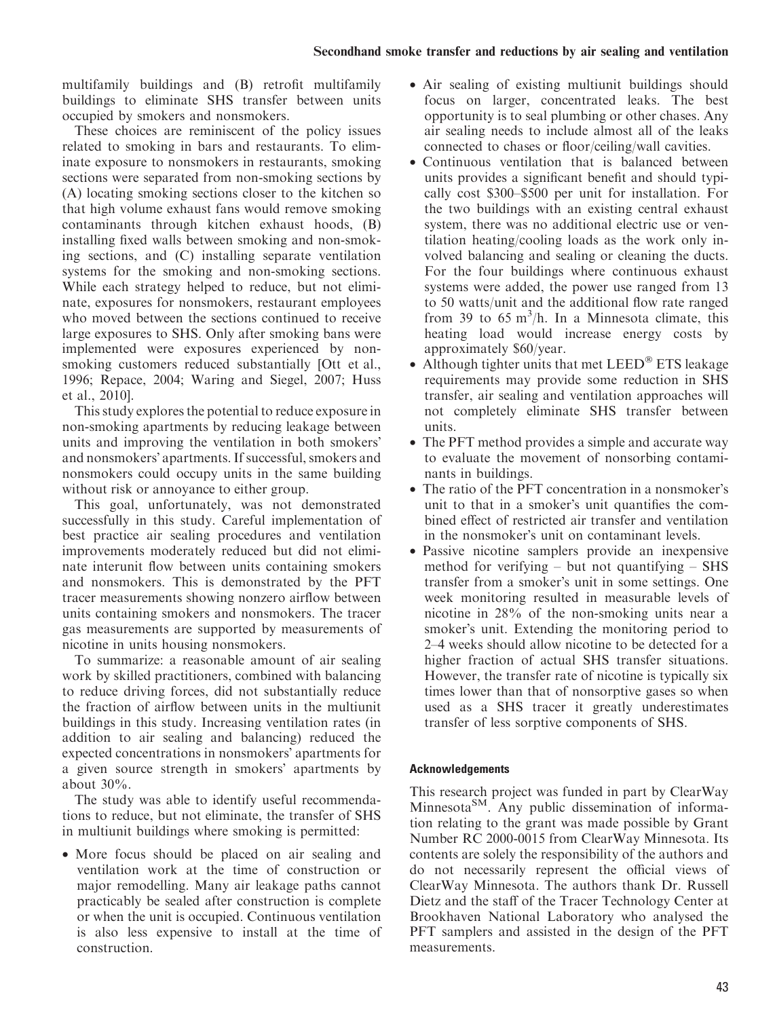multifamily buildings and (B) retrofit multifamily buildings to eliminate SHS transfer between units occupied by smokers and nonsmokers.

These choices are reminiscent of the policy issues related to smoking in bars and restaurants. To eliminate exposure to nonsmokers in restaurants, smoking sections were separated from non-smoking sections by (A) locating smoking sections closer to the kitchen so that high volume exhaust fans would remove smoking contaminants through kitchen exhaust hoods, (B) installing fixed walls between smoking and non-smoking sections, and (C) installing separate ventilation systems for the smoking and non-smoking sections. While each strategy helped to reduce, but not eliminate, exposures for nonsmokers, restaurant employees who moved between the sections continued to receive large exposures to SHS. Only after smoking bans were implemented were exposures experienced by nonsmoking customers reduced substantially [Ott et al., 1996; Repace, 2004; Waring and Siegel, 2007; Huss et al., 2010].

This study explores the potential to reduce exposure in non-smoking apartments by reducing leakage between units and improving the ventilation in both smokers' and nonsmokers' apartments. If successful, smokers and nonsmokers could occupy units in the same building without risk or annoyance to either group.

This goal, unfortunately, was not demonstrated successfully in this study. Careful implementation of best practice air sealing procedures and ventilation improvements moderately reduced but did not eliminate interunit flow between units containing smokers and nonsmokers. This is demonstrated by the PFT tracer measurements showing nonzero airflow between units containing smokers and nonsmokers. The tracer gas measurements are supported by measurements of nicotine in units housing nonsmokers.

To summarize: a reasonable amount of air sealing work by skilled practitioners, combined with balancing to reduce driving forces, did not substantially reduce the fraction of airflow between units in the multiunit buildings in this study. Increasing ventilation rates (in addition to air sealing and balancing) reduced the expected concentrations in nonsmokers' apartments for a given source strength in smokers' apartments by about  $30\%$ .

The study was able to identify useful recommendations to reduce, but not eliminate, the transfer of SHS in multiunit buildings where smoking is permitted:

• More focus should be placed on air sealing and ventilation work at the time of construction or major remodelling. Many air leakage paths cannot practicably be sealed after construction is complete or when the unit is occupied. Continuous ventilation is also less expensive to install at the time of construction.

- Air sealing of existing multiunit buildings should focus on larger, concentrated leaks. The best opportunity is to seal plumbing or other chases. Any air sealing needs to include almost all of the leaks connected to chases or floor/ceiling/wall cavities.
- Continuous ventilation that is balanced between units provides a significant benefit and should typically cost \$300–\$500 per unit for installation. For the two buildings with an existing central exhaust system, there was no additional electric use or ventilation heating/cooling loads as the work only involved balancing and sealing or cleaning the ducts. For the four buildings where continuous exhaust systems were added, the power use ranged from 13 to 50 watts/unit and the additional flow rate ranged from 39 to 65 m<sup>3</sup>/h. In a Minnesota climate, this heating load would increase energy costs by approximately \$60/year.
- Although tighter units that met  $LEED^{\circledast}$  ETS leakage requirements may provide some reduction in SHS transfer, air sealing and ventilation approaches will not completely eliminate SHS transfer between units.
- The PFT method provides a simple and accurate way to evaluate the movement of nonsorbing contaminants in buildings.
- The ratio of the PFT concentration in a nonsmoker's unit to that in a smoker's unit quantifies the combined effect of restricted air transfer and ventilation in the nonsmoker's unit on contaminant levels.
- Passive nicotine samplers provide an inexpensive method for verifying – but not quantifying – SHS transfer from a smoker's unit in some settings. One week monitoring resulted in measurable levels of nicotine in 28% of the non-smoking units near a smoker's unit. Extending the monitoring period to 2–4 weeks should allow nicotine to be detected for a higher fraction of actual SHS transfer situations. However, the transfer rate of nicotine is typically six times lower than that of nonsorptive gases so when used as a SHS tracer it greatly underestimates transfer of less sorptive components of SHS.

# Acknowledgements

This research project was funded in part by ClearWay Minnesota<sup>SM</sup>. Any public dissemination of information relating to the grant was made possible by Grant Number RC 2000-0015 from ClearWay Minnesota. Its contents are solely the responsibility of the authors and do not necessarily represent the official views of ClearWay Minnesota. The authors thank Dr. Russell Dietz and the staff of the Tracer Technology Center at Brookhaven National Laboratory who analysed the PFT samplers and assisted in the design of the PFT measurements.